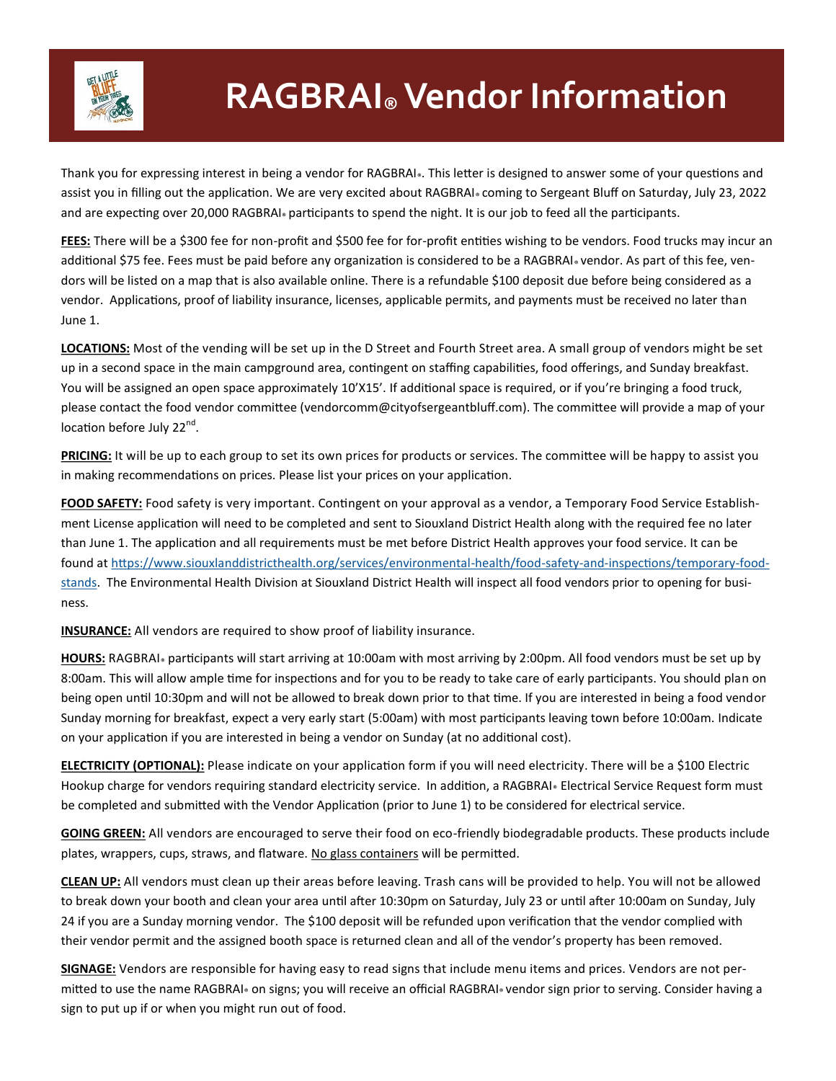

## **RAGBRAI® Vendor Information**

Thank you for expressing interest in being a vendor for RAGBRAI». This letter is designed to answer some of your questions and assist you in filling out the application. We are very excited about RAGBRAI® coming to Sergeant Bluff on Saturday, July 23, 2022 and are expecting over 20,000 RAGBRAI® participants to spend the night. It is our job to feed all the participants.

**FEES:** There will be a \$300 fee for non-profit and \$500 fee for for-profit entities wishing to be vendors. Food trucks may incur an additional \$75 fee. Fees must be paid before any organization is considered to be a RAGBRAI® vendor. As part of this fee, vendors will be listed on a map that is also available online. There is a refundable \$100 deposit due before being considered as a vendor. Applications, proof of liability insurance, licenses, applicable permits, and payments must be received no later than June 1.

**LOCATIONS:** Most of the vending will be set up in the D Street and Fourth Street area. A small group of vendors might be set up in a second space in the main campground area, contingent on staffing capabilities, food offerings, and Sunday breakfast. You will be assigned an open space approximately 10'X15'. If additional space is required, or if you're bringing a food truck, please contact the food vendor committee (vendorcomm@cityofsergeantbluff.com). The committee will provide a map of your location before July 22<sup>nd</sup>.

**PRICING:** It will be up to each group to set its own prices for products or services. The committee will be happy to assist you in making recommendations on prices. Please list your prices on your application.

**FOOD SAFETY:** Food safety is very important. Contingent on your approval as a vendor, a Temporary Food Service Establishment License application will need to be completed and sent to Siouxland District Health along with the required fee no later than June 1. The application and all requirements must be met before District Health approves your food service. It can be found at [https://www.siouxlanddistricthealth.org/services/environmental](https://www.siouxlanddistricthealth.org/services/environmental-health/food-safety-and-inspections/temporary-food-stands)-health/food-safety-and-inspections/temporary-food[stands.](https://www.siouxlanddistricthealth.org/services/environmental-health/food-safety-and-inspections/temporary-food-stands) The Environmental Health Division at Siouxland District Health will inspect all food vendors prior to opening for business.

**INSURANCE:** All vendors are required to show proof of liability insurance.

**HOURS:** RAGBRAI<sub>®</sub> participants will start arriving at 10:00am with most arriving by 2:00pm. All food vendors must be set up by 8:00am. This will allow ample time for inspections and for you to be ready to take care of early participants. You should plan on being open until 10:30pm and will not be allowed to break down prior to that time. If you are interested in being a food vendor Sunday morning for breakfast, expect a very early start (5:00am) with most participants leaving town before 10:00am. Indicate on your application if you are interested in being a vendor on Sunday (at no additional cost).

**ELECTRICITY (OPTIONAL):** Please indicate on your application form if you will need electricity. There will be a \$100 Electric Hookup charge for vendors requiring standard electricity service. In addition, a RAGBRAI® Electrical Service Request form must be completed and submitted with the Vendor Application (prior to June 1) to be considered for electrical service.

**GOING GREEN:** All vendors are encouraged to serve their food on eco-friendly biodegradable products. These products include plates, wrappers, cups, straws, and flatware. No glass containers will be permitted.

**CLEAN UP:** All vendors must clean up their areas before leaving. Trash cans will be provided to help. You will not be allowed to break down your booth and clean your area until after 10:30pm on Saturday, July 23 or until after 10:00am on Sunday, July 24 if you are a Sunday morning vendor. The \$100 deposit will be refunded upon verification that the vendor complied with their vendor permit and the assigned booth space is returned clean and all of the vendor's property has been removed.

**SIGNAGE:** Vendors are responsible for having easy to read signs that include menu items and prices. Vendors are not permitted to use the name RAGBRAI® on signs; you will receive an official RAGBRAI® vendor sign prior to serving. Consider having a sign to put up if or when you might run out of food.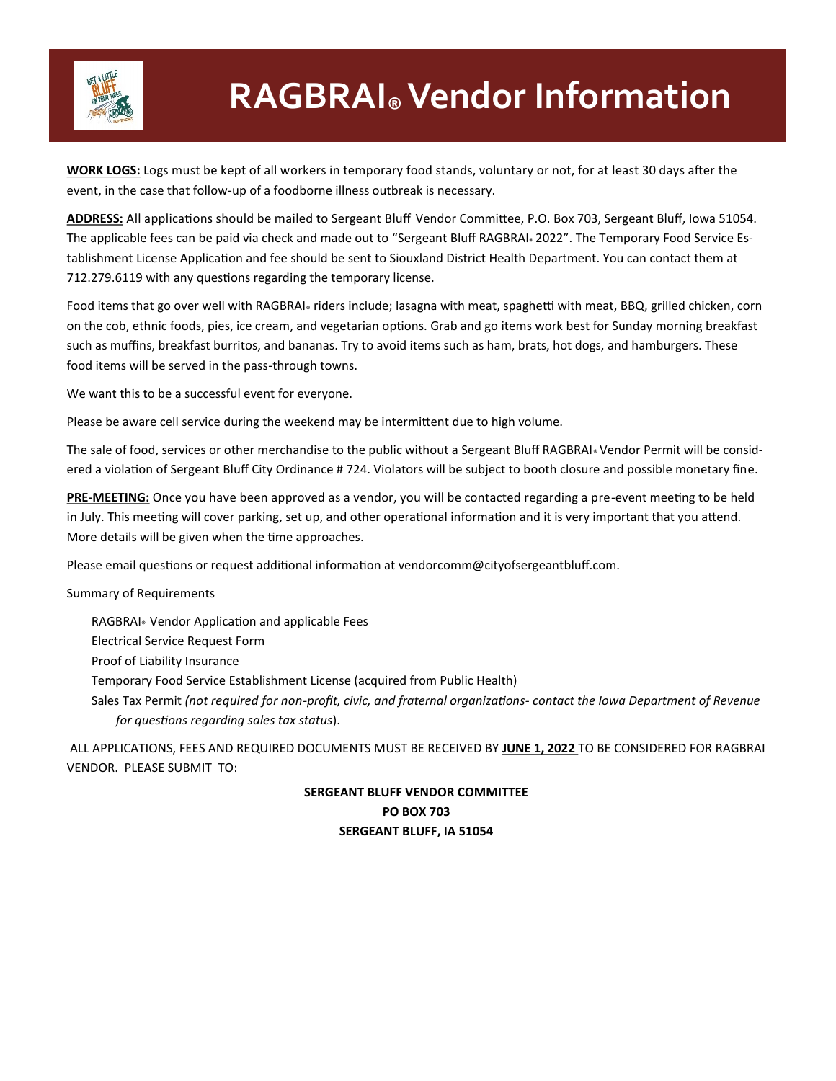

## **RAGBRAI® Vendor Information**

**WORK LOGS:** Logs must be kept of all workers in temporary food stands, voluntary or not, for at least 30 days after the event, in the case that follow-up of a foodborne illness outbreak is necessary.

**ADDRESS:** All applications should be mailed to Sergeant Bluff Vendor Committee, P.O. Box 703, Sergeant Bluff, Iowa 51054. The applicable fees can be paid via check and made out to "Sergeant Bluff RAGBRAI® 2022". The Temporary Food Service Establishment License Application and fee should be sent to Siouxland District Health Department. You can contact them at 712.279.6119 with any questions regarding the temporary license.

Food items that go over well with RAGBRAI® riders include; lasagna with meat, spaghetti with meat, BBQ, grilled chicken, corn on the cob, ethnic foods, pies, ice cream, and vegetarian options. Grab and go items work best for Sunday morning breakfast such as muffins, breakfast burritos, and bananas. Try to avoid items such as ham, brats, hot dogs, and hamburgers. These food items will be served in the pass-through towns.

We want this to be a successful event for everyone.

Please be aware cell service during the weekend may be intermittent due to high volume.

The sale of food, services or other merchandise to the public without a Sergeant Bluff RAGBRAI® Vendor Permit will be considered a violation of Sergeant Bluff City Ordinance # 724. Violators will be subject to booth closure and possible monetary fine.

**PRE-MEETING:** Once you have been approved as a vendor, you will be contacted regarding a pre-event meeting to be held in July. This meeting will cover parking, set up, and other operational information and it is very important that you attend. More details will be given when the time approaches.

Please email questions or request additional information at vendorcomm@cityofsergeantbluff.com.

Summary of Requirements

RAGBRAI® Vendor Application and applicable Fees Electrical Service Request Form Proof of Liability Insurance Temporary Food Service Establishment License (acquired from Public Health) Sales Tax Permit *(not required for non-profit, civic, and fraternal organizations- contact the Iowa Department of Revenue for questions regarding sales tax status*).

ALL APPLICATIONS, FEES AND REQUIRED DOCUMENTS MUST BE RECEIVED BY **JUNE 1, 2022** TO BE CONSIDERED FOR RAGBRAI VENDOR. PLEASE SUBMIT TO:

> **SERGEANT BLUFF VENDOR COMMITTEE PO BOX 703 SERGEANT BLUFF, IA 51054**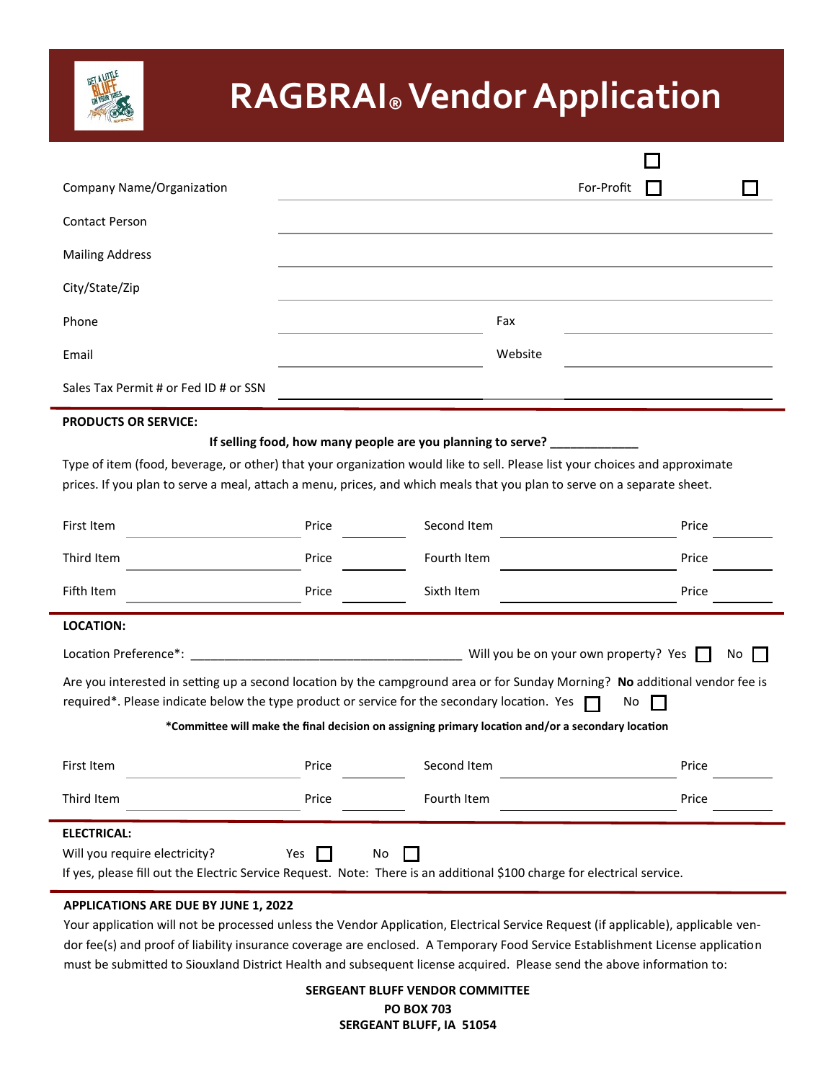

# **RAGBRAI® Vendor Application**

| Company Name/Organization                                                                                                                                                                                                                                                                                                          |       |                                                                                                   | For-Profit |  |
|------------------------------------------------------------------------------------------------------------------------------------------------------------------------------------------------------------------------------------------------------------------------------------------------------------------------------------|-------|---------------------------------------------------------------------------------------------------|------------|--|
| <b>Contact Person</b>                                                                                                                                                                                                                                                                                                              |       |                                                                                                   |            |  |
| <b>Mailing Address</b>                                                                                                                                                                                                                                                                                                             |       |                                                                                                   |            |  |
| City/State/Zip                                                                                                                                                                                                                                                                                                                     |       |                                                                                                   |            |  |
| Phone                                                                                                                                                                                                                                                                                                                              |       | Fax                                                                                               |            |  |
| Email                                                                                                                                                                                                                                                                                                                              |       | Website                                                                                           |            |  |
| Sales Tax Permit # or Fed ID # or SSN                                                                                                                                                                                                                                                                                              |       |                                                                                                   |            |  |
| <b>PRODUCTS OR SERVICE:</b>                                                                                                                                                                                                                                                                                                        |       |                                                                                                   |            |  |
| If selling food, how many people are you planning to serve? ____________<br>Type of item (food, beverage, or other) that your organization would like to sell. Please list your choices and approximate<br>prices. If you plan to serve a meal, attach a menu, prices, and which meals that you plan to serve on a separate sheet. |       |                                                                                                   |            |  |
| First Item                                                                                                                                                                                                                                                                                                                         | Price | Second Item                                                                                       | Price      |  |
| Third Item                                                                                                                                                                                                                                                                                                                         | Price | Fourth Item                                                                                       | Price      |  |
| Fifth Item                                                                                                                                                                                                                                                                                                                         | Price | Sixth Item                                                                                        | Price      |  |
| <b>LOCATION:</b>                                                                                                                                                                                                                                                                                                                   |       |                                                                                                   |            |  |
| Location Preference*:<br>Will you be on your own property? Yes<br>No                                                                                                                                                                                                                                                               |       |                                                                                                   |            |  |
| Are you interested in setting up a second location by the campground area or for Sunday Morning? No additional vendor fee is<br>required*. Please indicate below the type product or service for the secondary location. Yes<br>No                                                                                                 |       |                                                                                                   |            |  |
|                                                                                                                                                                                                                                                                                                                                    |       | *Committee will make the final decision on assigning primary location and/or a secondary location |            |  |
| First Item                                                                                                                                                                                                                                                                                                                         | Price | Second Item                                                                                       | Price      |  |
| Third Item                                                                                                                                                                                                                                                                                                                         | Price | Fourth Item                                                                                       | Price      |  |
| <b>ELECTRICAL:</b><br>Will you require electricity?<br>Yes<br>No<br>If yes, please fill out the Electric Service Request. Note: There is an additional \$100 charge for electrical service.                                                                                                                                        |       |                                                                                                   |            |  |

#### **APPLICATIONS ARE DUE BY JUNE 1, 2022**

Your application will not be processed unless the Vendor Application, Electrical Service Request (if applicable), applicable vendor fee(s) and proof of liability insurance coverage are enclosed. A Temporary Food Service Establishment License application must be submitted to Siouxland District Health and subsequent license acquired. Please send the above information to:

> **SERGEANT BLUFF VENDOR COMMITTEE PO BOX 703 SERGEANT BLUFF, IA 51054**